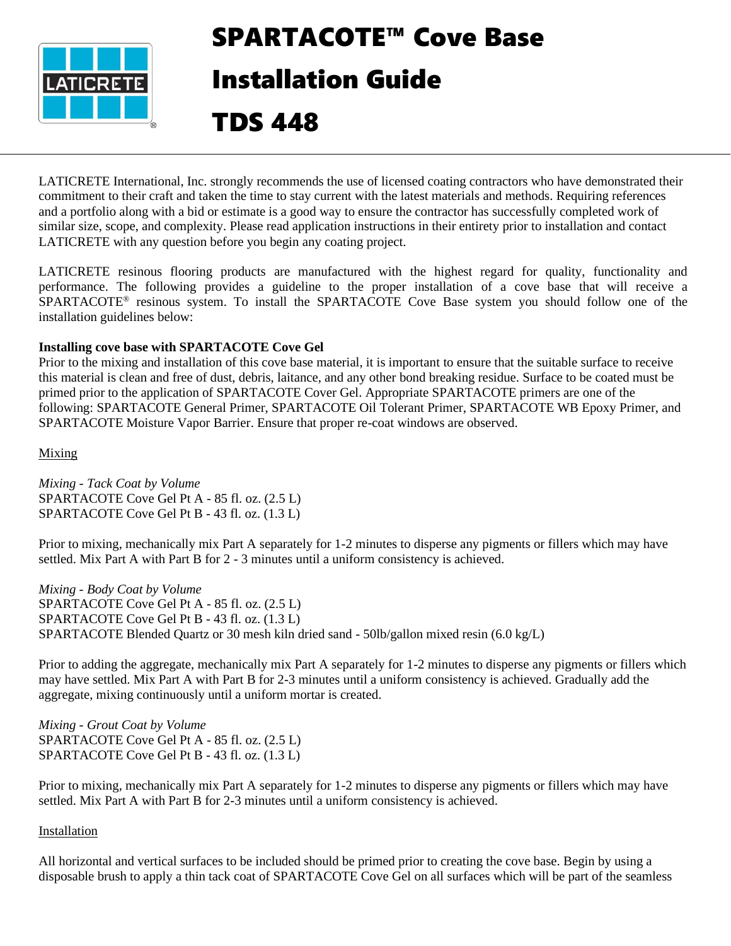

# SPARTACOTE™ Cove Base Installation Guide

# TDS 448

LATICRETE International, Inc. strongly recommends the use of licensed coating contractors who have demonstrated their commitment to their craft and taken the time to stay current with the latest materials and methods. Requiring references and a portfolio along with a bid or estimate is a good way to ensure the contractor has successfully completed work of similar size, scope, and complexity. Please read application instructions in their entirety prior to installation and contact LATICRETE with any question before you begin any coating project.

LATICRETE resinous flooring products are manufactured with the highest regard for quality, functionality and performance. The following provides a guideline to the proper installation of a cove base that will receive a SPARTACOTE<sup>®</sup> resinous system. To install the SPARTACOTE Cove Base system you should follow one of the installation guidelines below:

#### **Installing cove base with SPARTACOTE Cove Gel**

Prior to the mixing and installation of this cove base material, it is important to ensure that the suitable surface to receive this material is clean and free of dust, debris, laitance, and any other bond breaking residue. Surface to be coated must be primed prior to the application of SPARTACOTE Cover Gel. Appropriate SPARTACOTE primers are one of the following: SPARTACOTE General Primer, SPARTACOTE Oil Tolerant Primer, SPARTACOTE WB Epoxy Primer, and SPARTACOTE Moisture Vapor Barrier. Ensure that proper re-coat windows are observed.

Mixing

*Mixing - Tack Coat by Volume* SPARTACOTE Cove Gel Pt A - 85 fl. oz. (2.5 L) SPARTACOTE Cove Gel Pt B - 43 fl. oz. (1.3 L)

Prior to mixing, mechanically mix Part A separately for 1-2 minutes to disperse any pigments or fillers which may have settled. Mix Part A with Part B for 2 - 3 minutes until a uniform consistency is achieved.

*Mixing - Body Coat by Volume* SPARTACOTE Cove Gel Pt A - 85 fl. oz. (2.5 L) SPARTACOTE Cove Gel Pt B - 43 fl. oz. (1.3 L) SPARTACOTE Blended Quartz or 30 mesh kiln dried sand - 50lb/gallon mixed resin (6.0 kg/L)

Prior to adding the aggregate, mechanically mix Part A separately for 1-2 minutes to disperse any pigments or fillers which may have settled. Mix Part A with Part B for 2-3 minutes until a uniform consistency is achieved. Gradually add the aggregate, mixing continuously until a uniform mortar is created.

*Mixing - Grout Coat by Volume* SPARTACOTE Cove Gel Pt A - 85 fl. oz. (2.5 L) SPARTACOTE Cove Gel Pt B - 43 fl. oz. (1.3 L)

Prior to mixing, mechanically mix Part A separately for 1-2 minutes to disperse any pigments or fillers which may have settled. Mix Part A with Part B for 2-3 minutes until a uniform consistency is achieved.

#### Installation

All horizontal and vertical surfaces to be included should be primed prior to creating the cove base. Begin by using a disposable brush to apply a thin tack coat of SPARTACOTE Cove Gel on all surfaces which will be part of the seamless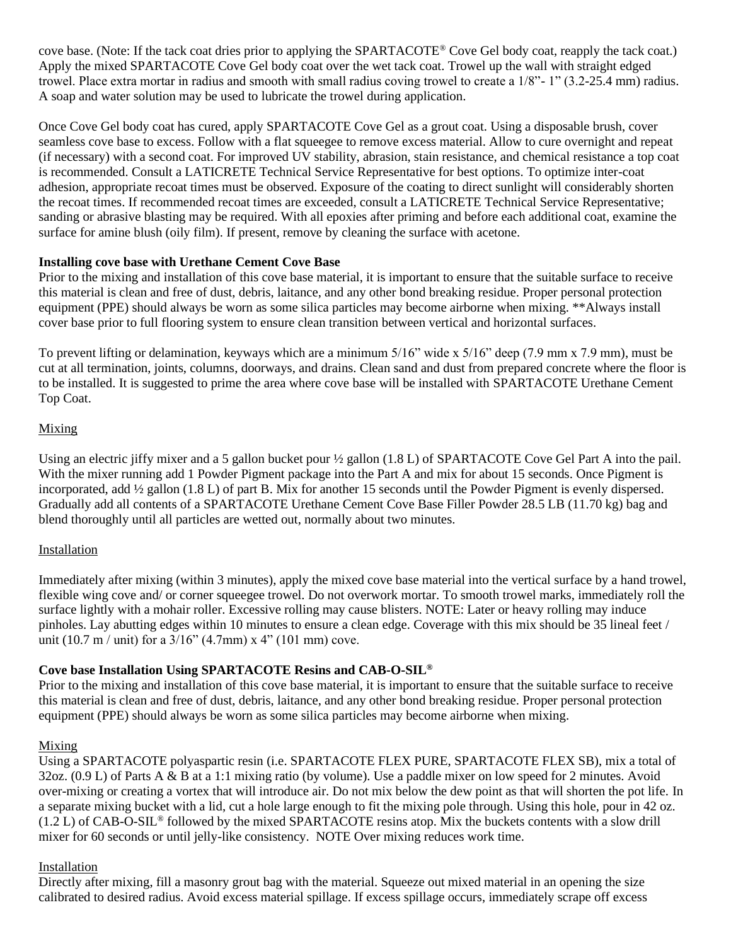cove base. (Note: If the tack coat dries prior to applying the SPARTACOTE® Cove Gel body coat, reapply the tack coat.) Apply the mixed SPARTACOTE Cove Gel body coat over the wet tack coat. Trowel up the wall with straight edged trowel. Place extra mortar in radius and smooth with small radius coving trowel to create a 1/8"- 1" (3.2-25.4 mm) radius. A soap and water solution may be used to lubricate the trowel during application.

Once Cove Gel body coat has cured, apply SPARTACOTE Cove Gel as a grout coat. Using a disposable brush, cover seamless cove base to excess. Follow with a flat squeegee to remove excess material. Allow to cure overnight and repeat (if necessary) with a second coat. For improved UV stability, abrasion, stain resistance, and chemical resistance a top coat is recommended. Consult a LATICRETE Technical Service Representative for best options. To optimize inter-coat adhesion, appropriate recoat times must be observed. Exposure of the coating to direct sunlight will considerably shorten the recoat times. If recommended recoat times are exceeded, consult a LATICRETE Technical Service Representative; sanding or abrasive blasting may be required. With all epoxies after priming and before each additional coat, examine the surface for amine blush (oily film). If present, remove by cleaning the surface with acetone.

#### **Installing cove base with Urethane Cement Cove Base**

Prior to the mixing and installation of this cove base material, it is important to ensure that the suitable surface to receive this material is clean and free of dust, debris, laitance, and any other bond breaking residue. Proper personal protection equipment (PPE) should always be worn as some silica particles may become airborne when mixing. \*\*Always install cover base prior to full flooring system to ensure clean transition between vertical and horizontal surfaces.

To prevent lifting or delamination, keyways which are a minimum 5/16" wide x 5/16" deep (7.9 mm x 7.9 mm), must be cut at all termination, joints, columns, doorways, and drains. Clean sand and dust from prepared concrete where the floor is to be installed. It is suggested to prime the area where cove base will be installed with SPARTACOTE Urethane Cement Top Coat.

#### Mixing

Using an electric jiffy mixer and a 5 gallon bucket pour  $\frac{1}{2}$  gallon (1.8 L) of SPARTACOTE Cove Gel Part A into the pail. With the mixer running add 1 Powder Pigment package into the Part A and mix for about 15 seconds. Once Pigment is incorporated, add ½ gallon (1.8 L) of part B. Mix for another 15 seconds until the Powder Pigment is evenly dispersed. Gradually add all contents of a SPARTACOTE Urethane Cement Cove Base Filler Powder 28.5 LB (11.70 kg) bag and blend thoroughly until all particles are wetted out, normally about two minutes.

## **Installation**

Immediately after mixing (within 3 minutes), apply the mixed cove base material into the vertical surface by a hand trowel, flexible wing cove and/ or corner squeegee trowel. Do not overwork mortar. To smooth trowel marks, immediately roll the surface lightly with a mohair roller. Excessive rolling may cause blisters. NOTE: Later or heavy rolling may induce pinholes. Lay abutting edges within 10 minutes to ensure a clean edge. Coverage with this mix should be 35 lineal feet / unit (10.7 m / unit) for a  $3/16$ " (4.7mm) x 4" (101 mm) cove.

## **Cove base Installation Using SPARTACOTE Resins and CAB-O-SIL®**

Prior to the mixing and installation of this cove base material, it is important to ensure that the suitable surface to receive this material is clean and free of dust, debris, laitance, and any other bond breaking residue. Proper personal protection equipment (PPE) should always be worn as some silica particles may become airborne when mixing.

#### Mixing

Using a SPARTACOTE polyaspartic resin (i.e. SPARTACOTE FLEX PURE, SPARTACOTE FLEX SB), mix a total of 32oz. (0.9 L) of Parts A & B at a 1:1 mixing ratio (by volume). Use a paddle mixer on low speed for 2 minutes. Avoid over-mixing or creating a vortex that will introduce air. Do not mix below the dew point as that will shorten the pot life. In a separate mixing bucket with a lid, cut a hole large enough to fit the mixing pole through. Using this hole, pour in 42 oz. (1.2 L) of CAB-O-SIL® followed by the mixed SPARTACOTE resins atop. Mix the buckets contents with a slow drill mixer for 60 seconds or until jelly-like consistency. NOTE Over mixing reduces work time.

#### Installation

Directly after mixing, fill a masonry grout bag with the material. Squeeze out mixed material in an opening the size calibrated to desired radius. Avoid excess material spillage. If excess spillage occurs, immediately scrape off excess